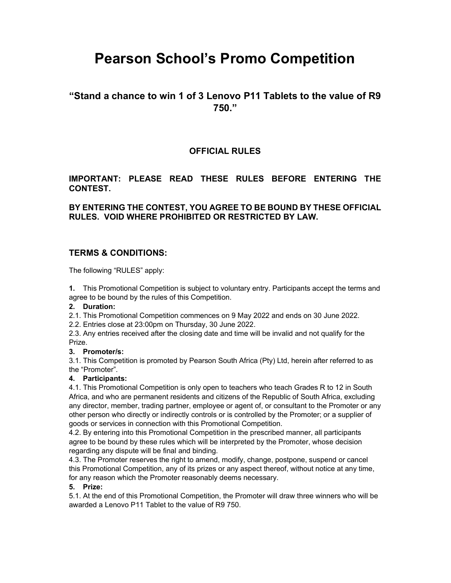# Pearson School's Promo Competition

# "Stand a chance to win 1 of 3 Lenovo P11 Tablets to the value of R9 750."

# OFFICIAL RULES

# IMPORTANT: PLEASE READ THESE RULES BEFORE ENTERING THE CONTEST.

## BY ENTERING THE CONTEST, YOU AGREE TO BE BOUND BY THESE OFFICIAL RULES. VOID WHERE PROHIBITED OR RESTRICTED BY LAW.

# TERMS & CONDITIONS:

The following "RULES" apply:

1. This Promotional Competition is subject to voluntary entry. Participants accept the terms and agree to be bound by the rules of this Competition.

#### 2. Duration:

2.1. This Promotional Competition commences on 9 May 2022 and ends on 30 June 2022.

2.2. Entries close at 23:00pm on Thursday, 30 June 2022.

2.3. Any entries received after the closing date and time will be invalid and not qualify for the Prize.

#### 3. Promoter/s:

3.1. This Competition is promoted by Pearson South Africa (Pty) Ltd, herein after referred to as the "Promoter".

#### 4. Participants:

4.1. This Promotional Competition is only open to teachers who teach Grades R to 12 in South Africa, and who are permanent residents and citizens of the Republic of South Africa, excluding any director, member, trading partner, employee or agent of, or consultant to the Promoter or any other person who directly or indirectly controls or is controlled by the Promoter; or a supplier of goods or services in connection with this Promotional Competition.

4.2. By entering into this Promotional Competition in the prescribed manner, all participants agree to be bound by these rules which will be interpreted by the Promoter, whose decision regarding any dispute will be final and binding.

4.3. The Promoter reserves the right to amend, modify, change, postpone, suspend or cancel this Promotional Competition, any of its prizes or any aspect thereof, without notice at any time, for any reason which the Promoter reasonably deems necessary.

#### 5. Prize:

5.1. At the end of this Promotional Competition, the Promoter will draw three winners who will be awarded a Lenovo P11 Tablet to the value of R9 750.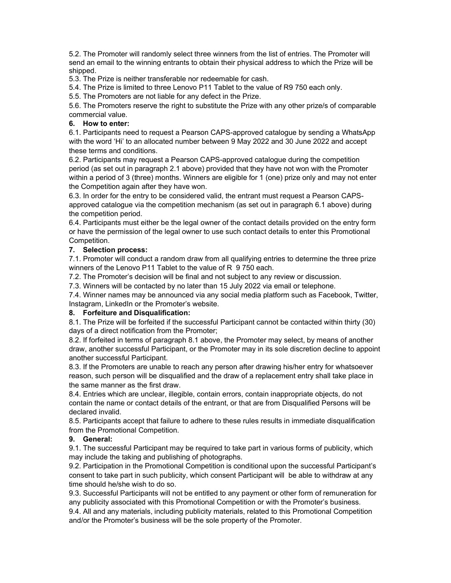5.2. The Promoter will randomly select three winners from the list of entries. The Promoter will send an email to the winning entrants to obtain their physical address to which the Prize will be shipped.

5.3. The Prize is neither transferable nor redeemable for cash.

5.4. The Prize is limited to three Lenovo P11 Tablet to the value of R9 750 each only.

5.5. The Promoters are not liable for any defect in the Prize.

5.6. The Promoters reserve the right to substitute the Prize with any other prize/s of comparable commercial value.

## 6. How to enter:

6.1. Participants need to request a Pearson CAPS-approved catalogue by sending a WhatsApp with the word 'Hi' to an allocated number between 9 May 2022 and 30 June 2022 and accept these terms and conditions.

6.2. Participants may request a Pearson CAPS-approved catalogue during the competition period (as set out in paragraph 2.1 above) provided that they have not won with the Promoter within a period of 3 (three) months. Winners are eligible for 1 (one) prize only and may not enter the Competition again after they have won.

6.3. In order for the entry to be considered valid, the entrant must request a Pearson CAPSapproved catalogue via the competition mechanism (as set out in paragraph 6.1 above) during the competition period.

6.4. Participants must either be the legal owner of the contact details provided on the entry form or have the permission of the legal owner to use such contact details to enter this Promotional Competition.

#### 7. Selection process:

7.1. Promoter will conduct a random draw from all qualifying entries to determine the three prize winners of the Lenovo P11 Tablet to the value of R 9 750 each.

7.2. The Promoter's decision will be final and not subject to any review or discussion.

7.3. Winners will be contacted by no later than 15 July 2022 via email or telephone.

7.4. Winner names may be announced via any social media platform such as Facebook, Twitter, Instagram, LinkedIn or the Promoter's website.

#### 8. Forfeiture and Disqualification:

8.1. The Prize will be forfeited if the successful Participant cannot be contacted within thirty (30) days of a direct notification from the Promoter;

8.2. If forfeited in terms of paragraph 8.1 above, the Promoter may select, by means of another draw, another successful Participant, or the Promoter may in its sole discretion decline to appoint another successful Participant.

8.3. If the Promoters are unable to reach any person after drawing his/her entry for whatsoever reason, such person will be disqualified and the draw of a replacement entry shall take place in the same manner as the first draw.

8.4. Entries which are unclear, illegible, contain errors, contain inappropriate objects, do not contain the name or contact details of the entrant, or that are from Disqualified Persons will be declared invalid.

8.5. Participants accept that failure to adhere to these rules results in immediate disqualification from the Promotional Competition.

### 9. General:

9.1. The successful Participant may be required to take part in various forms of publicity, which may include the taking and publishing of photographs.

9.2. Participation in the Promotional Competition is conditional upon the successful Participant's consent to take part in such publicity, which consent Participant will be able to withdraw at any time should he/she wish to do so.

9.3. Successful Participants will not be entitled to any payment or other form of remuneration for any publicity associated with this Promotional Competition or with the Promoter's business.

9.4. All and any materials, including publicity materials, related to this Promotional Competition and/or the Promoter's business will be the sole property of the Promoter.